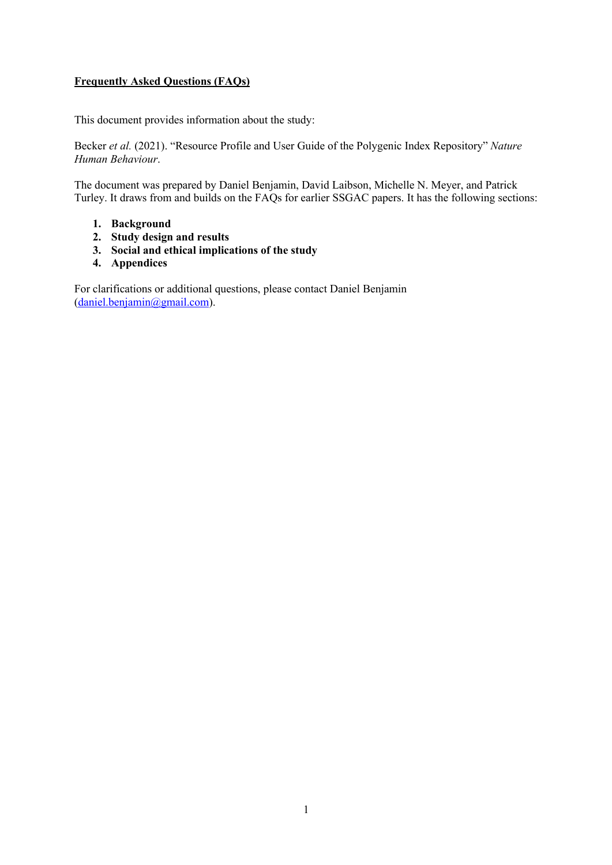### **Frequently Asked Questions (FAQs)**

This document provides information about the study:

Becker *et al.* (2021). "Resource Profile and User Guide of the Polygenic Index Repository" *Nature Human Behaviour*.

The document was prepared by Daniel Benjamin, David Laibson, Michelle N. Meyer, and Patrick Turley. It draws from and builds on the FAQs for earlier SSGAC papers. It has the following sections:

- **1. Background**
- **2. Study design and results**
- **3. Social and ethical implications of the study**
- **4. Appendices**

For clarifications or additional questions, please contact Daniel Benjamin  $(daniel.beniamin@gmail.com)$ .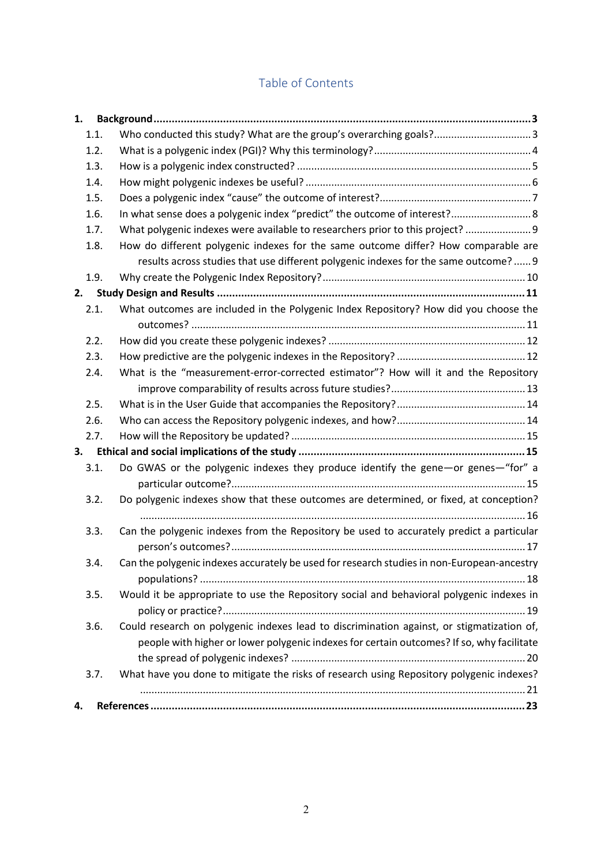# Table of Contents

| 1. |      |                                                                                                                                                                                        |
|----|------|----------------------------------------------------------------------------------------------------------------------------------------------------------------------------------------|
|    | 1.1. | Who conducted this study? What are the group's overarching goals? 3                                                                                                                    |
|    | 1.2. |                                                                                                                                                                                        |
|    | 1.3. |                                                                                                                                                                                        |
|    | 1.4. |                                                                                                                                                                                        |
|    | 1.5. |                                                                                                                                                                                        |
|    | 1.6. | In what sense does a polygenic index "predict" the outcome of interest? 8                                                                                                              |
|    | 1.7. | What polygenic indexes were available to researchers prior to this project?  9                                                                                                         |
|    | 1.8. | How do different polygenic indexes for the same outcome differ? How comparable are                                                                                                     |
|    |      | results across studies that use different polygenic indexes for the same outcome?  9                                                                                                   |
|    | 1.9. |                                                                                                                                                                                        |
| 2. |      |                                                                                                                                                                                        |
|    | 2.1. | What outcomes are included in the Polygenic Index Repository? How did you choose the                                                                                                   |
|    |      |                                                                                                                                                                                        |
|    | 2.2. |                                                                                                                                                                                        |
|    | 2.3. |                                                                                                                                                                                        |
|    | 2.4. | What is the "measurement-error-corrected estimator"? How will it and the Repository                                                                                                    |
|    |      |                                                                                                                                                                                        |
|    | 2.5. |                                                                                                                                                                                        |
|    | 2.6. |                                                                                                                                                                                        |
|    | 2.7. |                                                                                                                                                                                        |
| 3. |      |                                                                                                                                                                                        |
|    | 3.1. | Do GWAS or the polygenic indexes they produce identify the gene-or genes-"for" a                                                                                                       |
|    | 3.2. | Do polygenic indexes show that these outcomes are determined, or fixed, at conception?                                                                                                 |
|    | 3.3. | Can the polygenic indexes from the Repository be used to accurately predict a particular                                                                                               |
|    | 3.4. | Can the polygenic indexes accurately be used for research studies in non-European-ancestry                                                                                             |
|    | 3.5. | Would it be appropriate to use the Repository social and behavioral polygenic indexes in                                                                                               |
|    | 3.6. | Could research on polygenic indexes lead to discrimination against, or stigmatization of,<br>people with higher or lower polygenic indexes for certain outcomes? If so, why facilitate |
|    | 3.7. | What have you done to mitigate the risks of research using Repository polygenic indexes?                                                                                               |
| 4. |      |                                                                                                                                                                                        |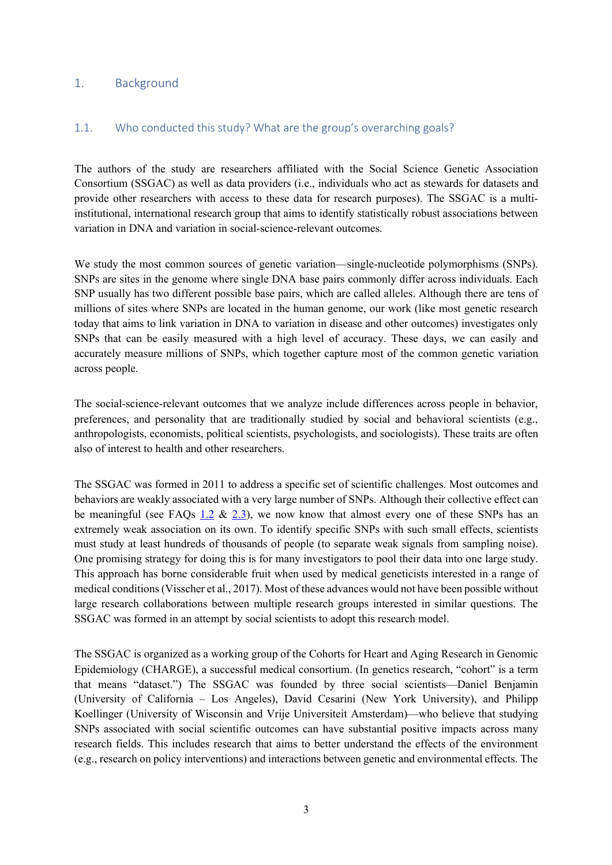#### 1. Background

#### 1.1. Who conducted this study? What are the group's overarching goals?

The authors of the study are researchers affiliated with the Social Science Genetic Association Consortium (SSGAC) as well as data providers (i.e., individuals who act as stewards for datasets and provide other researchers with access to these data for research purposes). The SSGAC is a multiinstitutional, international research group that aims to identify statistically robust associations between variation in DNA and variation in social-science-relevant outcomes.

We study the most common sources of genetic variation—single-nucleotide polymorphisms (SNPs). SNPs are sites in the genome where single DNA base pairs commonly differ across individuals. Each SNP usually has two different possible base pairs, which are called alleles. Although there are tens of millions of sites where SNPs are located in the human genome, our work (like most genetic research today that aims to link variation in DNA to variation in disease and other outcomes) investigates only SNPs that can be easily measured with a high level of accuracy. These days, we can easily and accurately measure millions of SNPs, which together capture most of the common genetic variation across people.

The social-science-relevant outcomes that we analyze include differences across people in behavior, preferences, and personality that are traditionally studied by social and behavioral scientists (e.g., anthropologists, economists, political scientists, psychologists, and sociologists). These traits are often also of interest to health and other researchers.

The SSGAC was formed in 2011 to address a specific set of scientific challenges. Most outcomes and behaviors are weakly associated with a very large number of SNPs. Although their collective effect can be meaningful (see FAQs 1.2  $\&$  2.3), we now know that almost every one of these SNPs has an extremely weak association on its own. To identify specific SNPs with such small effects, scientists must study at least hundreds of thousands of people (to separate weak signals from sampling noise). One promising strategy for doing this is for many investigators to pool their data into one large study. This approach has borne considerable fruit when used by medical geneticists interested in a range of medical conditions (Visscher et al., 2017). Most of these advances would not have been possible without large research collaborations between multiple research groups interested in similar questions. The SSGAC was formed in an attempt by social scientists to adopt this research model.

The SSGAC is organized as a working group of the Cohorts for Heart and Aging Research in Genomic Epidemiology (CHARGE), a successful medical consortium. (In genetics research, "cohort" is a term that means "dataset.") The SSGAC was founded by three social scientists—Daniel Benjamin (University of California – Los Angeles), David Cesarini (New York University), and Philipp Koellinger (University of Wisconsin and Vrije Universiteit Amsterdam)—who believe that studying SNPs associated with social scientific outcomes can have substantial positive impacts across many research fields. This includes research that aims to better understand the effects of the environment (e.g., research on policy interventions) and interactions between genetic and environmental effects. The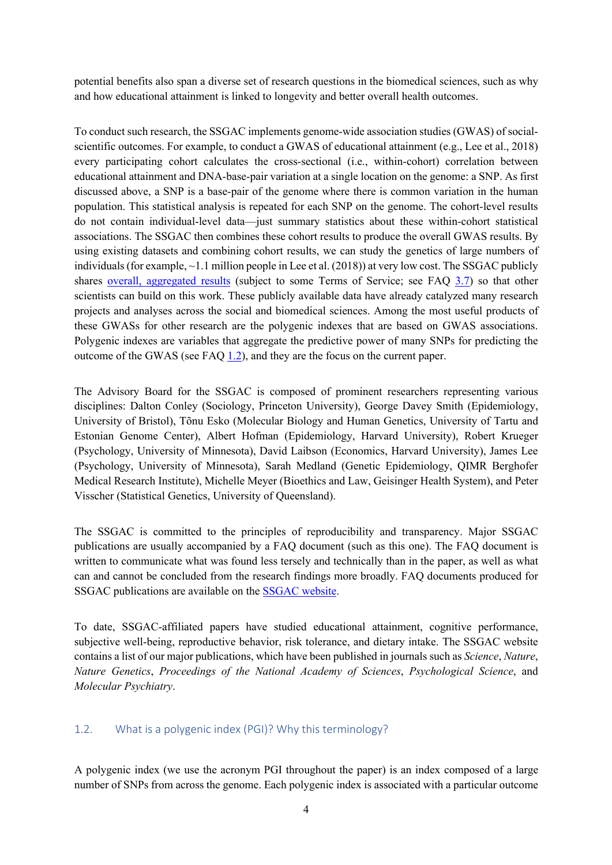potential benefits also span a diverse set of research questions in the biomedical sciences, such as why and how educational attainment is linked to longevity and better overall health outcomes.

To conduct such research, the SSGAC implements genome-wide association studies (GWAS) of socialscientific outcomes. For example, to conduct a GWAS of educational attainment (e.g., Lee et al., 2018) every participating cohort calculates the cross-sectional (i.e., within-cohort) correlation between educational attainment and DNA-base-pair variation at a single location on the genome: a SNP. As first discussed above, a SNP is a base-pair of the genome where there is common variation in the human population. This statistical analysis is repeated for each SNP on the genome. The cohort-level results do not contain individual-level data—just summary statistics about these within-cohort statistical associations. The SSGAC then combines these cohort results to produce the overall GWAS results. By using existing datasets and combining cohort results, we can study the genetics of large numbers of individuals (for example,  $\sim$ 1.1 million people in Lee et al. (2018)) at very low cost. The SSGAC publicly shares overall, aggregated results (subject to some Terms of Service; see FAQ 3.7) so that other scientists can build on this work. These publicly available data have already catalyzed many research projects and analyses across the social and biomedical sciences. Among the most useful products of these GWASs for other research are the polygenic indexes that are based on GWAS associations. Polygenic indexes are variables that aggregate the predictive power of many SNPs for predicting the outcome of the GWAS (see FAQ 1.2), and they are the focus on the current paper.

The Advisory Board for the SSGAC is composed of prominent researchers representing various disciplines: Dalton Conley (Sociology, Princeton University), George Davey Smith (Epidemiology, University of Bristol), Tõnu Esko (Molecular Biology and Human Genetics, University of Tartu and Estonian Genome Center), Albert Hofman (Epidemiology, Harvard University), Robert Krueger (Psychology, University of Minnesota), David Laibson (Economics, Harvard University), James Lee (Psychology, University of Minnesota), Sarah Medland (Genetic Epidemiology, QIMR Berghofer Medical Research Institute), Michelle Meyer (Bioethics and Law, Geisinger Health System), and Peter Visscher (Statistical Genetics, University of Queensland).

The SSGAC is committed to the principles of reproducibility and transparency. Major SSGAC publications are usually accompanied by a FAQ document (such as this one). The FAQ document is written to communicate what was found less tersely and technically than in the paper, as well as what can and cannot be concluded from the research findings more broadly. FAQ documents produced for SSGAC publications are available on the SSGAC website.

To date, SSGAC-affiliated papers have studied educational attainment, cognitive performance, subjective well-being, reproductive behavior, risk tolerance, and dietary intake. The SSGAC website contains a list of our major publications, which have been published in journals such as *Science*, *Nature*, *Nature Genetics*, *Proceedings of the National Academy of Sciences*, *Psychological Science*, and *Molecular Psychiatry*.

### 1.2. What is a polygenic index (PGI)? Why this terminology?

A polygenic index (we use the acronym PGI throughout the paper) is an index composed of a large number of SNPs from across the genome. Each polygenic index is associated with a particular outcome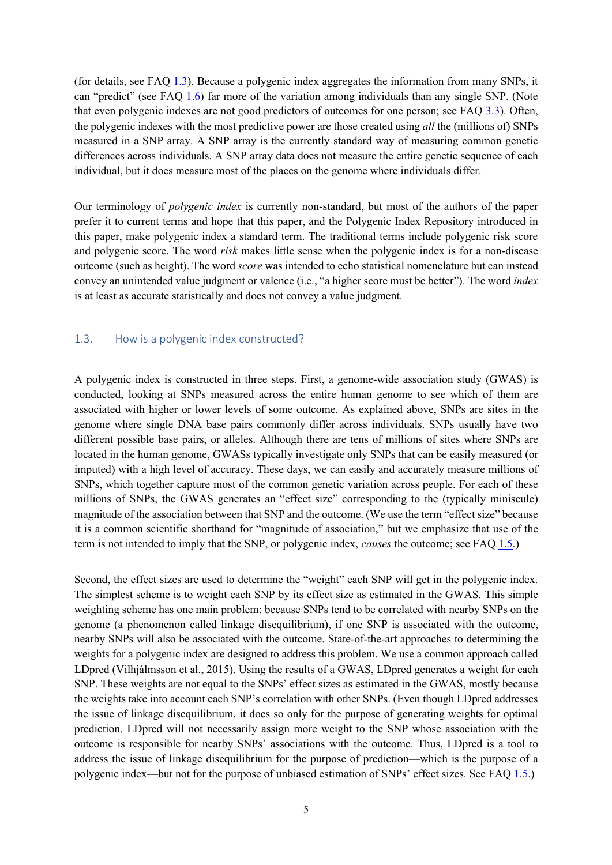(for details, see FAQ 1.3). Because a polygenic index aggregates the information from many SNPs, it can "predict" (see FAQ 1.6) far more of the variation among individuals than any single SNP. (Note that even polygenic indexes are not good predictors of outcomes for one person; see FAQ 3.3). Often, the polygenic indexes with the most predictive power are those created using *all* the (millions of) SNPs measured in a SNP array. A SNP array is the currently standard way of measuring common genetic differences across individuals. A SNP array data does not measure the entire genetic sequence of each individual, but it does measure most of the places on the genome where individuals differ.

Our terminology of *polygenic index* is currently non-standard, but most of the authors of the paper prefer it to current terms and hope that this paper, and the Polygenic Index Repository introduced in this paper, make polygenic index a standard term. The traditional terms include polygenic risk score and polygenic score. The word *risk* makes little sense when the polygenic index is for a non-disease outcome (such as height). The word *score* was intended to echo statistical nomenclature but can instead convey an unintended value judgment or valence (i.e., "a higher score must be better"). The word *index* is at least as accurate statistically and does not convey a value judgment.

#### 1.3. How is a polygenic index constructed?

A polygenic index is constructed in three steps. First, a genome-wide association study (GWAS) is conducted, looking at SNPs measured across the entire human genome to see which of them are associated with higher or lower levels of some outcome. As explained above, SNPs are sites in the genome where single DNA base pairs commonly differ across individuals. SNPs usually have two different possible base pairs, or alleles. Although there are tens of millions of sites where SNPs are located in the human genome, GWASs typically investigate only SNPs that can be easily measured (or imputed) with a high level of accuracy. These days, we can easily and accurately measure millions of SNPs, which together capture most of the common genetic variation across people. For each of these millions of SNPs, the GWAS generates an "effect size" corresponding to the (typically miniscule) magnitude of the association between that SNP and the outcome. (We use the term "effect size" because it is a common scientific shorthand for "magnitude of association," but we emphasize that use of the term is not intended to imply that the SNP, or polygenic index, *causes* the outcome; see FAQ 1.5.)

Second, the effect sizes are used to determine the "weight" each SNP will get in the polygenic index. The simplest scheme is to weight each SNP by its effect size as estimated in the GWAS. This simple weighting scheme has one main problem: because SNPs tend to be correlated with nearby SNPs on the genome (a phenomenon called linkage disequilibrium), if one SNP is associated with the outcome, nearby SNPs will also be associated with the outcome. State-of-the-art approaches to determining the weights for a polygenic index are designed to address this problem. We use a common approach called LDpred (Vilhjálmsson et al., 2015). Using the results of a GWAS, LDpred generates a weight for each SNP. These weights are not equal to the SNPs' effect sizes as estimated in the GWAS, mostly because the weights take into account each SNP's correlation with other SNPs. (Even though LDpred addresses the issue of linkage disequilibrium, it does so only for the purpose of generating weights for optimal prediction. LDpred will not necessarily assign more weight to the SNP whose association with the outcome is responsible for nearby SNPs' associations with the outcome. Thus, LDpred is a tool to address the issue of linkage disequilibrium for the purpose of prediction—which is the purpose of a polygenic index—but not for the purpose of unbiased estimation of SNPs' effect sizes. See FAQ 1.5.)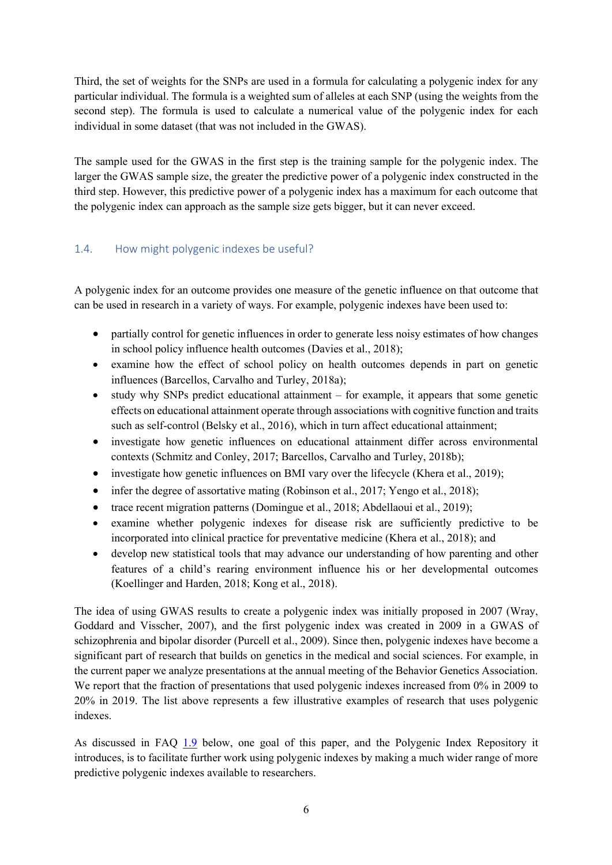Third, the set of weights for the SNPs are used in a formula for calculating a polygenic index for any particular individual. The formula is a weighted sum of alleles at each SNP (using the weights from the second step). The formula is used to calculate a numerical value of the polygenic index for each individual in some dataset (that was not included in the GWAS).

The sample used for the GWAS in the first step is the training sample for the polygenic index. The larger the GWAS sample size, the greater the predictive power of a polygenic index constructed in the third step. However, this predictive power of a polygenic index has a maximum for each outcome that the polygenic index can approach as the sample size gets bigger, but it can never exceed.

### 1.4. How might polygenic indexes be useful?

A polygenic index for an outcome provides one measure of the genetic influence on that outcome that can be used in research in a variety of ways. For example, polygenic indexes have been used to:

- partially control for genetic influences in order to generate less noisy estimates of how changes in school policy influence health outcomes (Davies et al., 2018);
- examine how the effect of school policy on health outcomes depends in part on genetic influences (Barcellos, Carvalho and Turley, 2018a);
- study why SNPs predict educational attainment for example, it appears that some genetic effects on educational attainment operate through associations with cognitive function and traits such as self-control (Belsky et al., 2016), which in turn affect educational attainment;
- investigate how genetic influences on educational attainment differ across environmental contexts (Schmitz and Conley, 2017; Barcellos, Carvalho and Turley, 2018b);
- investigate how genetic influences on BMI vary over the lifecycle (Khera et al., 2019);
- infer the degree of assortative mating (Robinson et al., 2017; Yengo et al., 2018);
- trace recent migration patterns (Domingue et al., 2018; Abdellaoui et al., 2019);
- examine whether polygenic indexes for disease risk are sufficiently predictive to be incorporated into clinical practice for preventative medicine (Khera et al., 2018); and
- develop new statistical tools that may advance our understanding of how parenting and other features of a child's rearing environment influence his or her developmental outcomes (Koellinger and Harden, 2018; Kong et al., 2018).

The idea of using GWAS results to create a polygenic index was initially proposed in 2007 (Wray, Goddard and Visscher, 2007), and the first polygenic index was created in 2009 in a GWAS of schizophrenia and bipolar disorder (Purcell et al., 2009). Since then, polygenic indexes have become a significant part of research that builds on genetics in the medical and social sciences. For example, in the current paper we analyze presentations at the annual meeting of the Behavior Genetics Association. We report that the fraction of presentations that used polygenic indexes increased from 0% in 2009 to 20% in 2019. The list above represents a few illustrative examples of research that uses polygenic indexes.

As discussed in FAQ 1.9 below, one goal of this paper, and the Polygenic Index Repository it introduces, is to facilitate further work using polygenic indexes by making a much wider range of more predictive polygenic indexes available to researchers.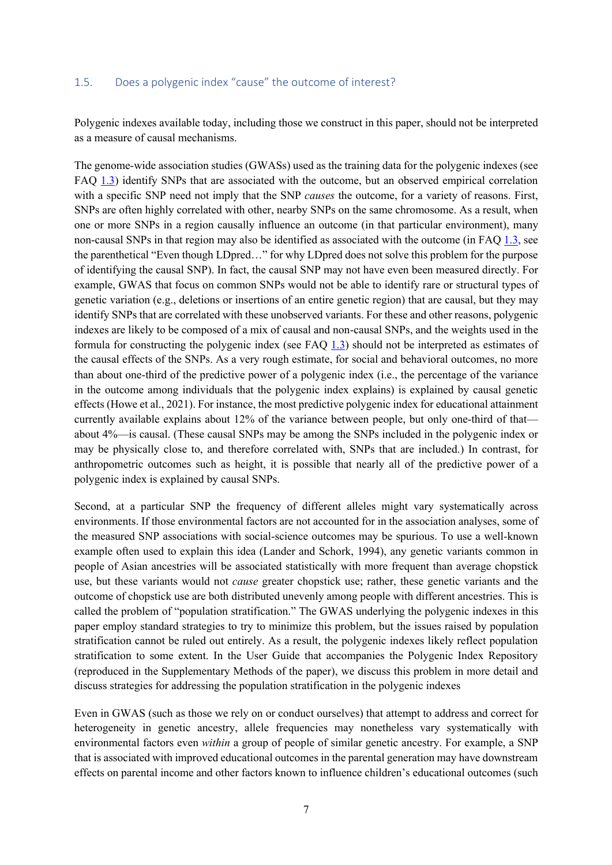#### 1.5. Does a polygenic index "cause" the outcome of interest?

Polygenic indexes available today, including those we construct in this paper, should not be interpreted as a measure of causal mechanisms.

The genome-wide association studies (GWASs) used as the training data for the polygenic indexes (see FAQ 1.3) identify SNPs that are associated with the outcome, but an observed empirical correlation with a specific SNP need not imply that the SNP *causes* the outcome, for a variety of reasons. First, SNPs are often highly correlated with other, nearby SNPs on the same chromosome. As a result, when one or more SNPs in a region causally influence an outcome (in that particular environment), many non-causal SNPs in that region may also be identified as associated with the outcome (in FAQ 1.3, see the parenthetical "Even though LDpred…" for why LDpred does not solve this problem for the purpose of identifying the causal SNP). In fact, the causal SNP may not have even been measured directly. For example, GWAS that focus on common SNPs would not be able to identify rare or structural types of genetic variation (e.g., deletions or insertions of an entire genetic region) that are causal, but they may identify SNPs that are correlated with these unobserved variants. For these and other reasons, polygenic indexes are likely to be composed of a mix of causal and non-causal SNPs, and the weights used in the formula for constructing the polygenic index (see FAQ 1.3) should not be interpreted as estimates of the causal effects of the SNPs. As a very rough estimate, for social and behavioral outcomes, no more than about one-third of the predictive power of a polygenic index (i.e., the percentage of the variance in the outcome among individuals that the polygenic index explains) is explained by causal genetic effects (Howe et al., 2021). For instance, the most predictive polygenic index for educational attainment currently available explains about 12% of the variance between people, but only one-third of that about 4%—is causal. (These causal SNPs may be among the SNPs included in the polygenic index or may be physically close to, and therefore correlated with, SNPs that are included.) In contrast, for anthropometric outcomes such as height, it is possible that nearly all of the predictive power of a polygenic index is explained by causal SNPs.

Second, at a particular SNP the frequency of different alleles might vary systematically across environments. If those environmental factors are not accounted for in the association analyses, some of the measured SNP associations with social-science outcomes may be spurious. To use a well-known example often used to explain this idea (Lander and Schork, 1994), any genetic variants common in people of Asian ancestries will be associated statistically with more frequent than average chopstick use, but these variants would not *cause* greater chopstick use; rather, these genetic variants and the outcome of chopstick use are both distributed unevenly among people with different ancestries. This is called the problem of "population stratification." The GWAS underlying the polygenic indexes in this paper employ standard strategies to try to minimize this problem, but the issues raised by population stratification cannot be ruled out entirely. As a result, the polygenic indexes likely reflect population stratification to some extent. In the User Guide that accompanies the Polygenic Index Repository (reproduced in the Supplementary Methods of the paper), we discuss this problem in more detail and discuss strategies for addressing the population stratification in the polygenic indexes

Even in GWAS (such as those we rely on or conduct ourselves) that attempt to address and correct for heterogeneity in genetic ancestry, allele frequencies may nonetheless vary systematically with environmental factors even *within* a group of people of similar genetic ancestry. For example, a SNP that is associated with improved educational outcomes in the parental generation may have downstream effects on parental income and other factors known to influence children's educational outcomes (such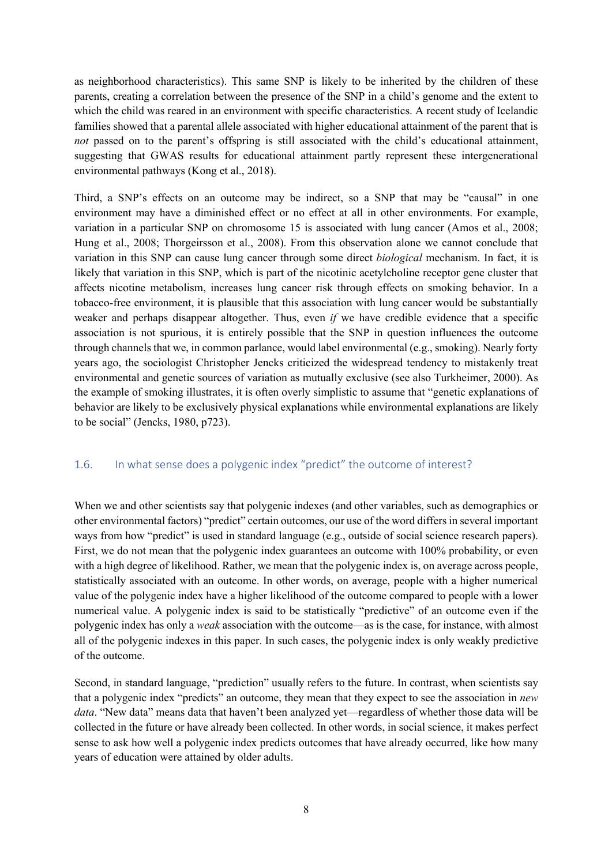as neighborhood characteristics). This same SNP is likely to be inherited by the children of these parents, creating a correlation between the presence of the SNP in a child's genome and the extent to which the child was reared in an environment with specific characteristics. A recent study of Icelandic families showed that a parental allele associated with higher educational attainment of the parent that is *not* passed on to the parent's offspring is still associated with the child's educational attainment, suggesting that GWAS results for educational attainment partly represent these intergenerational environmental pathways (Kong et al., 2018).

Third, a SNP's effects on an outcome may be indirect, so a SNP that may be "causal" in one environment may have a diminished effect or no effect at all in other environments. For example, variation in a particular SNP on chromosome 15 is associated with lung cancer (Amos et al., 2008; Hung et al., 2008; Thorgeirsson et al., 2008). From this observation alone we cannot conclude that variation in this SNP can cause lung cancer through some direct *biological* mechanism. In fact, it is likely that variation in this SNP, which is part of the nicotinic acetylcholine receptor gene cluster that affects nicotine metabolism, increases lung cancer risk through effects on smoking behavior. In a tobacco-free environment, it is plausible that this association with lung cancer would be substantially weaker and perhaps disappear altogether. Thus, even *if* we have credible evidence that a specific association is not spurious, it is entirely possible that the SNP in question influences the outcome through channels that we, in common parlance, would label environmental (e.g., smoking). Nearly forty years ago, the sociologist Christopher Jencks criticized the widespread tendency to mistakenly treat environmental and genetic sources of variation as mutually exclusive (see also Turkheimer, 2000). As the example of smoking illustrates, it is often overly simplistic to assume that "genetic explanations of behavior are likely to be exclusively physical explanations while environmental explanations are likely to be social" (Jencks, 1980, p723).

### 1.6. In what sense does a polygenic index "predict" the outcome of interest?

When we and other scientists say that polygenic indexes (and other variables, such as demographics or other environmental factors) "predict" certain outcomes, our use of the word differsin several important ways from how "predict" is used in standard language (e.g., outside of social science research papers). First, we do not mean that the polygenic index guarantees an outcome with 100% probability, or even with a high degree of likelihood. Rather, we mean that the polygenic index is, on average across people, statistically associated with an outcome. In other words, on average, people with a higher numerical value of the polygenic index have a higher likelihood of the outcome compared to people with a lower numerical value. A polygenic index is said to be statistically "predictive" of an outcome even if the polygenic index has only a *weak* association with the outcome—as is the case, for instance, with almost all of the polygenic indexes in this paper. In such cases, the polygenic index is only weakly predictive of the outcome.

Second, in standard language, "prediction" usually refers to the future. In contrast, when scientists say that a polygenic index "predicts" an outcome, they mean that they expect to see the association in *new data*. "New data" means data that haven't been analyzed yet—regardless of whether those data will be collected in the future or have already been collected. In other words, in social science, it makes perfect sense to ask how well a polygenic index predicts outcomes that have already occurred, like how many years of education were attained by older adults.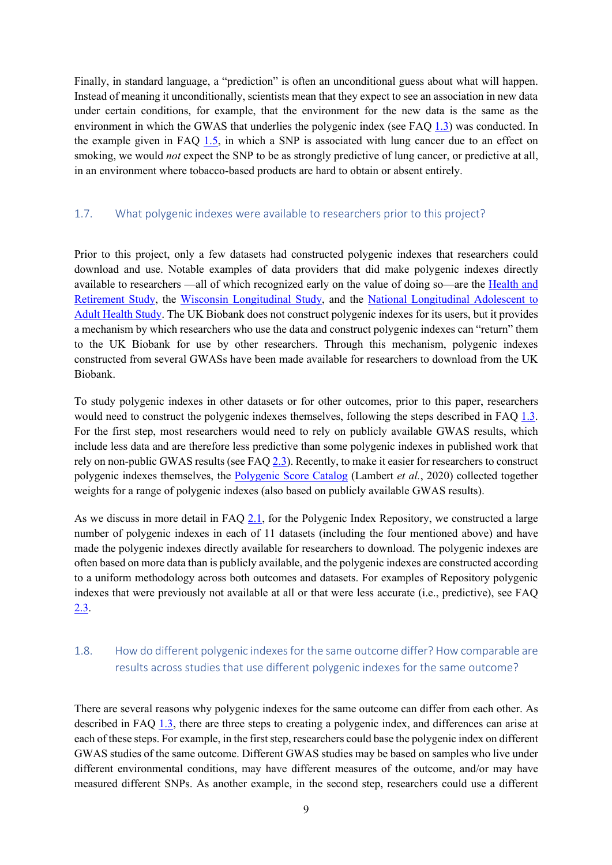Finally, in standard language, a "prediction" is often an unconditional guess about what will happen. Instead of meaning it unconditionally, scientists mean that they expect to see an association in new data under certain conditions, for example, that the environment for the new data is the same as the environment in which the GWAS that underlies the polygenic index (see FAQ 1.3) was conducted. In the example given in FAQ 1.5, in which a SNP is associated with lung cancer due to an effect on smoking, we would *not* expect the SNP to be as strongly predictive of lung cancer, or predictive at all, in an environment where tobacco-based products are hard to obtain or absent entirely.

#### 1.7. What polygenic indexes were available to researchers prior to this project?

Prior to this project, only a few datasets had constructed polygenic indexes that researchers could download and use. Notable examples of data providers that did make polygenic indexes directly available to researchers —all of which recognized early on the value of doing so—are the Health and Retirement Study, the Wisconsin Longitudinal Study, and the National Longitudinal Adolescent to Adult Health Study. The UK Biobank does not construct polygenic indexes for its users, but it provides a mechanism by which researchers who use the data and construct polygenic indexes can "return" them to the UK Biobank for use by other researchers. Through this mechanism, polygenic indexes constructed from several GWASs have been made available for researchers to download from the UK Biobank.

To study polygenic indexes in other datasets or for other outcomes, prior to this paper, researchers would need to construct the polygenic indexes themselves, following the steps described in FAQ 1.3. For the first step, most researchers would need to rely on publicly available GWAS results, which include less data and are therefore less predictive than some polygenic indexes in published work that rely on non-public GWAS results (see FAQ 2.3). Recently, to make it easier for researchers to construct polygenic indexes themselves, the Polygenic Score Catalog (Lambert *et al.*, 2020) collected together weights for a range of polygenic indexes (also based on publicly available GWAS results).

As we discuss in more detail in FAQ 2.1, for the Polygenic Index Repository, we constructed a large number of polygenic indexes in each of 11 datasets (including the four mentioned above) and have made the polygenic indexes directly available for researchers to download. The polygenic indexes are often based on more data than is publicly available, and the polygenic indexes are constructed according to a uniform methodology across both outcomes and datasets. For examples of Repository polygenic indexes that were previously not available at all or that were less accurate (i.e., predictive), see FAQ 2.3.

## 1.8. How do different polygenic indexes for the same outcome differ? How comparable are results across studies that use different polygenic indexes for the same outcome?

There are several reasons why polygenic indexes for the same outcome can differ from each other. As described in FAQ 1.3, there are three steps to creating a polygenic index, and differences can arise at each of these steps. For example, in the first step, researchers could base the polygenic index on different GWAS studies of the same outcome. Different GWAS studies may be based on samples who live under different environmental conditions, may have different measures of the outcome, and/or may have measured different SNPs. As another example, in the second step, researchers could use a different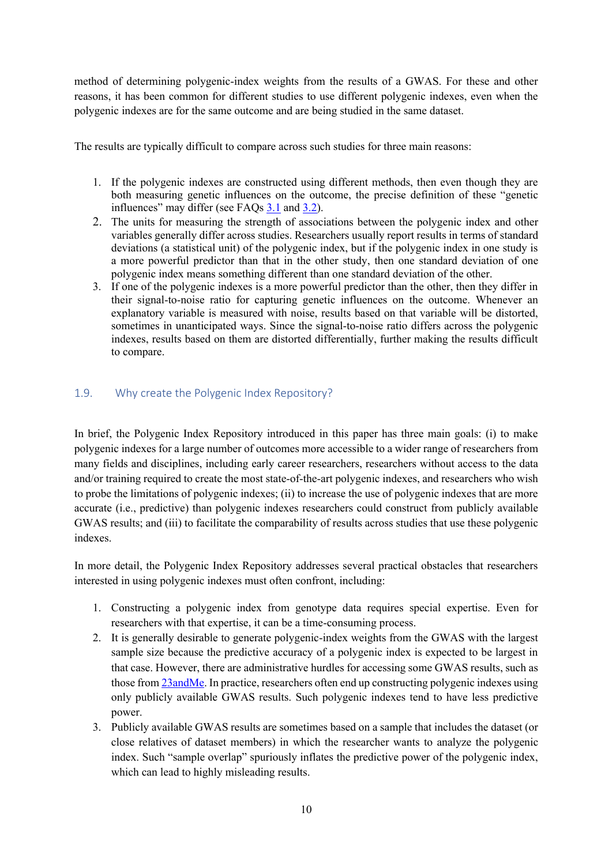method of determining polygenic-index weights from the results of a GWAS. For these and other reasons, it has been common for different studies to use different polygenic indexes, even when the polygenic indexes are for the same outcome and are being studied in the same dataset.

The results are typically difficult to compare across such studies for three main reasons:

- 1. If the polygenic indexes are constructed using different methods, then even though they are both measuring genetic influences on the outcome, the precise definition of these "genetic influences" may differ (see FAQs  $3.1$  and  $3.2$ ).
- 2. The units for measuring the strength of associations between the polygenic index and other variables generally differ across studies. Researchers usually report results in terms of standard deviations (a statistical unit) of the polygenic index, but if the polygenic index in one study is a more powerful predictor than that in the other study, then one standard deviation of one polygenic index means something different than one standard deviation of the other.
- 3. If one of the polygenic indexes is a more powerful predictor than the other, then they differ in their signal-to-noise ratio for capturing genetic influences on the outcome. Whenever an explanatory variable is measured with noise, results based on that variable will be distorted, sometimes in unanticipated ways. Since the signal-to-noise ratio differs across the polygenic indexes, results based on them are distorted differentially, further making the results difficult to compare.

### 1.9. Why create the Polygenic Index Repository?

In brief, the Polygenic Index Repository introduced in this paper has three main goals: (i) to make polygenic indexes for a large number of outcomes more accessible to a wider range of researchers from many fields and disciplines, including early career researchers, researchers without access to the data and/or training required to create the most state-of-the-art polygenic indexes, and researchers who wish to probe the limitations of polygenic indexes; (ii) to increase the use of polygenic indexes that are more accurate (i.e., predictive) than polygenic indexes researchers could construct from publicly available GWAS results; and (iii) to facilitate the comparability of results across studies that use these polygenic indexes.

In more detail, the Polygenic Index Repository addresses several practical obstacles that researchers interested in using polygenic indexes must often confront, including:

- 1. Constructing a polygenic index from genotype data requires special expertise. Even for researchers with that expertise, it can be a time-consuming process.
- 2. It is generally desirable to generate polygenic-index weights from the GWAS with the largest sample size because the predictive accuracy of a polygenic index is expected to be largest in that case. However, there are administrative hurdles for accessing some GWAS results, such as those from 23andMe. In practice, researchers often end up constructing polygenic indexes using only publicly available GWAS results. Such polygenic indexes tend to have less predictive power.
- 3. Publicly available GWAS results are sometimes based on a sample that includes the dataset (or close relatives of dataset members) in which the researcher wants to analyze the polygenic index. Such "sample overlap" spuriously inflates the predictive power of the polygenic index, which can lead to highly misleading results.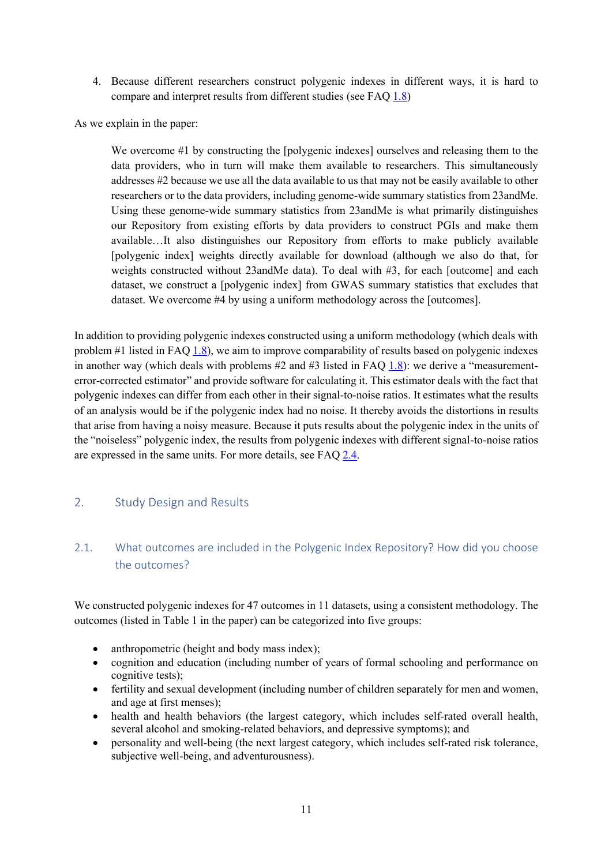4. Because different researchers construct polygenic indexes in different ways, it is hard to compare and interpret results from different studies (see FAQ 1.8)

As we explain in the paper:

We overcome #1 by constructing the [polygenic indexes] ourselves and releasing them to the data providers, who in turn will make them available to researchers. This simultaneously addresses #2 because we use all the data available to us that may not be easily available to other researchers or to the data providers, including genome-wide summary statistics from 23andMe. Using these genome-wide summary statistics from 23andMe is what primarily distinguishes our Repository from existing efforts by data providers to construct PGIs and make them available…It also distinguishes our Repository from efforts to make publicly available [polygenic index] weights directly available for download (although we also do that, for weights constructed without 23andMe data). To deal with #3, for each [outcome] and each dataset, we construct a [polygenic index] from GWAS summary statistics that excludes that dataset. We overcome #4 by using a uniform methodology across the [outcomes].

In addition to providing polygenic indexes constructed using a uniform methodology (which deals with problem  $#1$  listed in FAQ  $1.8$ ), we aim to improve comparability of results based on polygenic indexes in another way (which deals with problems  $#2$  and  $#3$  listed in FAQ 1.8): we derive a "measurementerror-corrected estimator" and provide software for calculating it. This estimator deals with the fact that polygenic indexes can differ from each other in their signal-to-noise ratios. It estimates what the results of an analysis would be if the polygenic index had no noise. It thereby avoids the distortions in results that arise from having a noisy measure. Because it puts results about the polygenic index in the units of the "noiseless" polygenic index, the results from polygenic indexes with different signal-to-noise ratios are expressed in the same units. For more details, see FAQ 2.4.

### 2. Study Design and Results

## 2.1. What outcomes are included in the Polygenic Index Repository? How did you choose the outcomes?

We constructed polygenic indexes for 47 outcomes in 11 datasets, using a consistent methodology. The outcomes (listed in Table 1 in the paper) can be categorized into five groups:

- anthropometric (height and body mass index);
- cognition and education (including number of years of formal schooling and performance on cognitive tests);
- fertility and sexual development (including number of children separately for men and women, and age at first menses);
- health and health behaviors (the largest category, which includes self-rated overall health, several alcohol and smoking-related behaviors, and depressive symptoms); and
- personality and well-being (the next largest category, which includes self-rated risk tolerance, subjective well-being, and adventurousness).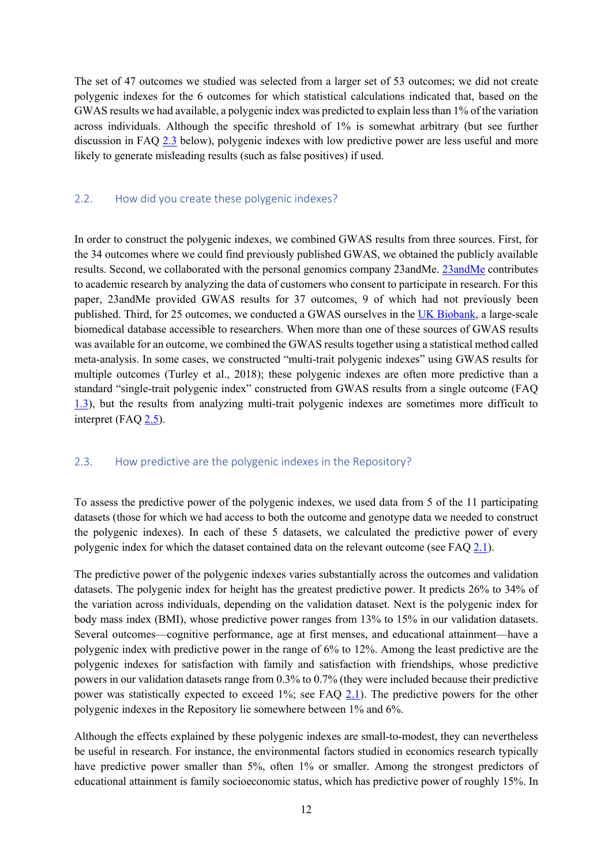The set of 47 outcomes we studied was selected from a larger set of 53 outcomes; we did not create polygenic indexes for the 6 outcomes for which statistical calculations indicated that, based on the GWAS results we had available, a polygenic index was predicted to explain less than 1% of the variation across individuals. Although the specific threshold of 1% is somewhat arbitrary (but see further discussion in FAQ 2.3 below), polygenic indexes with low predictive power are less useful and more likely to generate misleading results (such as false positives) if used.

#### 2.2. How did you create these polygenic indexes?

In order to construct the polygenic indexes, we combined GWAS results from three sources. First, for the 34 outcomes where we could find previously published GWAS, we obtained the publicly available results. Second, we collaborated with the personal genomics company 23andMe. 23andMe contributes to academic research by analyzing the data of customers who consent to participate in research. For this paper, 23andMe provided GWAS results for 37 outcomes, 9 of which had not previously been published. Third, for 25 outcomes, we conducted a GWAS ourselves in the UK Biobank, a large-scale biomedical database accessible to researchers. When more than one of these sources of GWAS results was available for an outcome, we combined the GWAS results together using a statistical method called meta-analysis. In some cases, we constructed "multi-trait polygenic indexes" using GWAS results for multiple outcomes (Turley et al., 2018); these polygenic indexes are often more predictive than a standard "single-trait polygenic index" constructed from GWAS results from a single outcome (FAQ 1.3), but the results from analyzing multi-trait polygenic indexes are sometimes more difficult to interpret (FAQ  $2.5$ ).

#### 2.3. How predictive are the polygenic indexes in the Repository?

To assess the predictive power of the polygenic indexes, we used data from 5 of the 11 participating datasets (those for which we had access to both the outcome and genotype data we needed to construct the polygenic indexes). In each of these 5 datasets, we calculated the predictive power of every polygenic index for which the dataset contained data on the relevant outcome (see FAQ 2.1).

The predictive power of the polygenic indexes varies substantially across the outcomes and validation datasets. The polygenic index for height has the greatest predictive power. It predicts 26% to 34% of the variation across individuals, depending on the validation dataset. Next is the polygenic index for body mass index (BMI), whose predictive power ranges from 13% to 15% in our validation datasets. Several outcomes—cognitive performance, age at first menses, and educational attainment—have a polygenic index with predictive power in the range of 6% to 12%. Among the least predictive are the polygenic indexes for satisfaction with family and satisfaction with friendships, whose predictive powers in our validation datasets range from 0.3% to 0.7% (they were included because their predictive power was statistically expected to exceed 1%; see FAQ 2.1). The predictive powers for the other polygenic indexes in the Repository lie somewhere between 1% and 6%.

Although the effects explained by these polygenic indexes are small-to-modest, they can nevertheless be useful in research. For instance, the environmental factors studied in economics research typically have predictive power smaller than 5%, often 1% or smaller. Among the strongest predictors of educational attainment is family socioeconomic status, which has predictive power of roughly 15%. In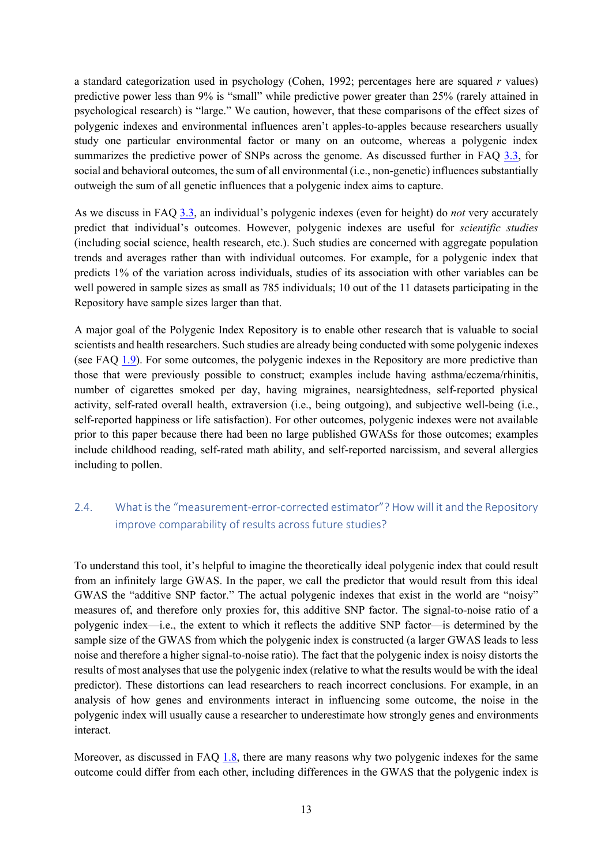a standard categorization used in psychology (Cohen, 1992; percentages here are squared *r* values) predictive power less than 9% is "small" while predictive power greater than 25% (rarely attained in psychological research) is "large." We caution, however, that these comparisons of the effect sizes of polygenic indexes and environmental influences aren't apples-to-apples because researchers usually study one particular environmental factor or many on an outcome, whereas a polygenic index summarizes the predictive power of SNPs across the genome. As discussed further in FAQ 3.3, for social and behavioral outcomes, the sum of all environmental (i.e., non-genetic) influences substantially outweigh the sum of all genetic influences that a polygenic index aims to capture.

As we discuss in FAQ 3.3, an individual's polygenic indexes (even for height) do *not* very accurately predict that individual's outcomes. However, polygenic indexes are useful for *scientific studies* (including social science, health research, etc.). Such studies are concerned with aggregate population trends and averages rather than with individual outcomes. For example, for a polygenic index that predicts 1% of the variation across individuals, studies of its association with other variables can be well powered in sample sizes as small as 785 individuals; 10 out of the 11 datasets participating in the Repository have sample sizes larger than that.

A major goal of the Polygenic Index Repository is to enable other research that is valuable to social scientists and health researchers. Such studies are already being conducted with some polygenic indexes (see FAQ 1.9). For some outcomes, the polygenic indexes in the Repository are more predictive than those that were previously possible to construct; examples include having asthma/eczema/rhinitis, number of cigarettes smoked per day, having migraines, nearsightedness, self-reported physical activity, self-rated overall health, extraversion (i.e., being outgoing), and subjective well-being (i.e., self-reported happiness or life satisfaction). For other outcomes, polygenic indexes were not available prior to this paper because there had been no large published GWASs for those outcomes; examples include childhood reading, self-rated math ability, and self-reported narcissism, and several allergies including to pollen.

## 2.4. What is the "measurement-error-corrected estimator"? How will it and the Repository improve comparability of results across future studies?

To understand this tool, it's helpful to imagine the theoretically ideal polygenic index that could result from an infinitely large GWAS. In the paper, we call the predictor that would result from this ideal GWAS the "additive SNP factor." The actual polygenic indexes that exist in the world are "noisy" measures of, and therefore only proxies for, this additive SNP factor. The signal-to-noise ratio of a polygenic index—i.e., the extent to which it reflects the additive SNP factor—is determined by the sample size of the GWAS from which the polygenic index is constructed (a larger GWAS leads to less noise and therefore a higher signal-to-noise ratio). The fact that the polygenic index is noisy distorts the results of most analyses that use the polygenic index (relative to what the results would be with the ideal predictor). These distortions can lead researchers to reach incorrect conclusions. For example, in an analysis of how genes and environments interact in influencing some outcome, the noise in the polygenic index will usually cause a researcher to underestimate how strongly genes and environments interact.

Moreover, as discussed in FAQ 1.8, there are many reasons why two polygenic indexes for the same outcome could differ from each other, including differences in the GWAS that the polygenic index is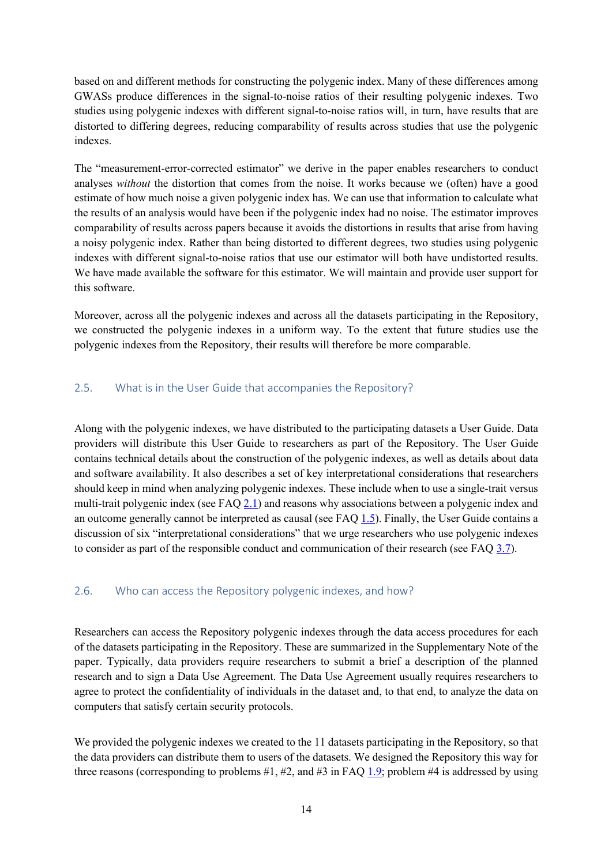based on and different methods for constructing the polygenic index. Many of these differences among GWASs produce differences in the signal-to-noise ratios of their resulting polygenic indexes. Two studies using polygenic indexes with different signal-to-noise ratios will, in turn, have results that are distorted to differing degrees, reducing comparability of results across studies that use the polygenic indexes.

The "measurement-error-corrected estimator" we derive in the paper enables researchers to conduct analyses *without* the distortion that comes from the noise. It works because we (often) have a good estimate of how much noise a given polygenic index has. We can use that information to calculate what the results of an analysis would have been if the polygenic index had no noise. The estimator improves comparability of results across papers because it avoids the distortions in results that arise from having a noisy polygenic index. Rather than being distorted to different degrees, two studies using polygenic indexes with different signal-to-noise ratios that use our estimator will both have undistorted results. We have made available the software for this estimator. We will maintain and provide user support for this software.

Moreover, across all the polygenic indexes and across all the datasets participating in the Repository, we constructed the polygenic indexes in a uniform way. To the extent that future studies use the polygenic indexes from the Repository, their results will therefore be more comparable.

### 2.5. What is in the User Guide that accompanies the Repository?

Along with the polygenic indexes, we have distributed to the participating datasets a User Guide. Data providers will distribute this User Guide to researchers as part of the Repository. The User Guide contains technical details about the construction of the polygenic indexes, as well as details about data and software availability. It also describes a set of key interpretational considerations that researchers should keep in mind when analyzing polygenic indexes. These include when to use a single-trait versus multi-trait polygenic index (see FAQ 2.1) and reasons why associations between a polygenic index and an outcome generally cannot be interpreted as causal (see FAQ 1.5). Finally, the User Guide contains a discussion of six "interpretational considerations" that we urge researchers who use polygenic indexes to consider as part of the responsible conduct and communication of their research (see FAQ 3.7).

#### 2.6. Who can access the Repository polygenic indexes, and how?

Researchers can access the Repository polygenic indexes through the data access procedures for each of the datasets participating in the Repository. These are summarized in the Supplementary Note of the paper. Typically, data providers require researchers to submit a brief a description of the planned research and to sign a Data Use Agreement. The Data Use Agreement usually requires researchers to agree to protect the confidentiality of individuals in the dataset and, to that end, to analyze the data on computers that satisfy certain security protocols.

We provided the polygenic indexes we created to the 11 datasets participating in the Repository, so that the data providers can distribute them to users of the datasets. We designed the Repository this way for three reasons (corresponding to problems #1, #2, and #3 in FAQ 1.9; problem #4 is addressed by using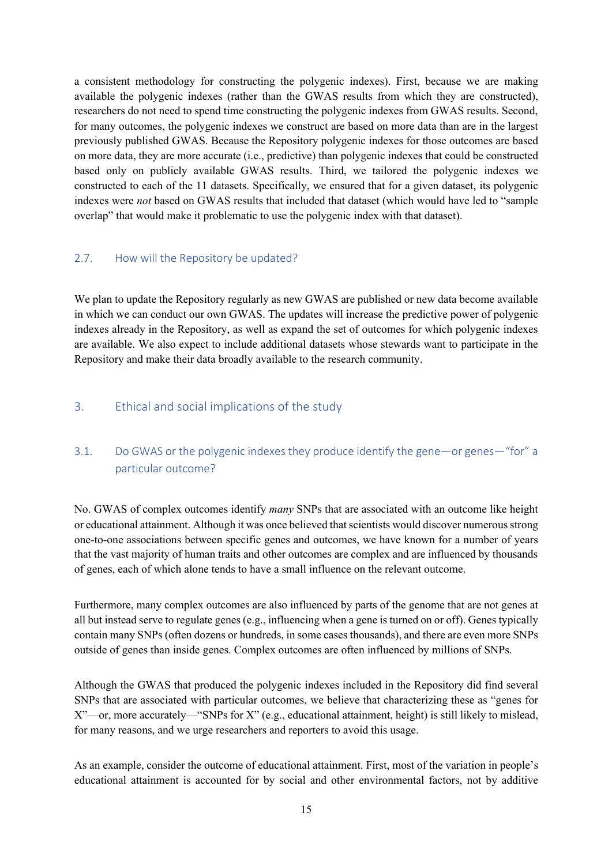a consistent methodology for constructing the polygenic indexes). First, because we are making available the polygenic indexes (rather than the GWAS results from which they are constructed), researchers do not need to spend time constructing the polygenic indexes from GWAS results. Second, for many outcomes, the polygenic indexes we construct are based on more data than are in the largest previously published GWAS. Because the Repository polygenic indexes for those outcomes are based on more data, they are more accurate (i.e., predictive) than polygenic indexes that could be constructed based only on publicly available GWAS results. Third, we tailored the polygenic indexes we constructed to each of the 11 datasets. Specifically, we ensured that for a given dataset, its polygenic indexes were *not* based on GWAS results that included that dataset (which would have led to "sample overlap" that would make it problematic to use the polygenic index with that dataset).

### 2.7. How will the Repository be updated?

We plan to update the Repository regularly as new GWAS are published or new data become available in which we can conduct our own GWAS. The updates will increase the predictive power of polygenic indexes already in the Repository, as well as expand the set of outcomes for which polygenic indexes are available. We also expect to include additional datasets whose stewards want to participate in the Repository and make their data broadly available to the research community.

## 3. Ethical and social implications of the study

## 3.1. Do GWAS or the polygenic indexes they produce identify the gene—or genes—"for" a particular outcome?

No. GWAS of complex outcomes identify *many* SNPs that are associated with an outcome like height or educational attainment. Although it was once believed that scientists would discover numerous strong one-to-one associations between specific genes and outcomes, we have known for a number of years that the vast majority of human traits and other outcomes are complex and are influenced by thousands of genes, each of which alone tends to have a small influence on the relevant outcome.

Furthermore, many complex outcomes are also influenced by parts of the genome that are not genes at all but instead serve to regulate genes (e.g., influencing when a gene is turned on or off). Genes typically contain many SNPs (often dozens or hundreds, in some cases thousands), and there are even more SNPs outside of genes than inside genes. Complex outcomes are often influenced by millions of SNPs.

Although the GWAS that produced the polygenic indexes included in the Repository did find several SNPs that are associated with particular outcomes, we believe that characterizing these as "genes for X"—or, more accurately—"SNPs for X" (e.g., educational attainment, height) is still likely to mislead, for many reasons, and we urge researchers and reporters to avoid this usage.

As an example, consider the outcome of educational attainment. First, most of the variation in people's educational attainment is accounted for by social and other environmental factors, not by additive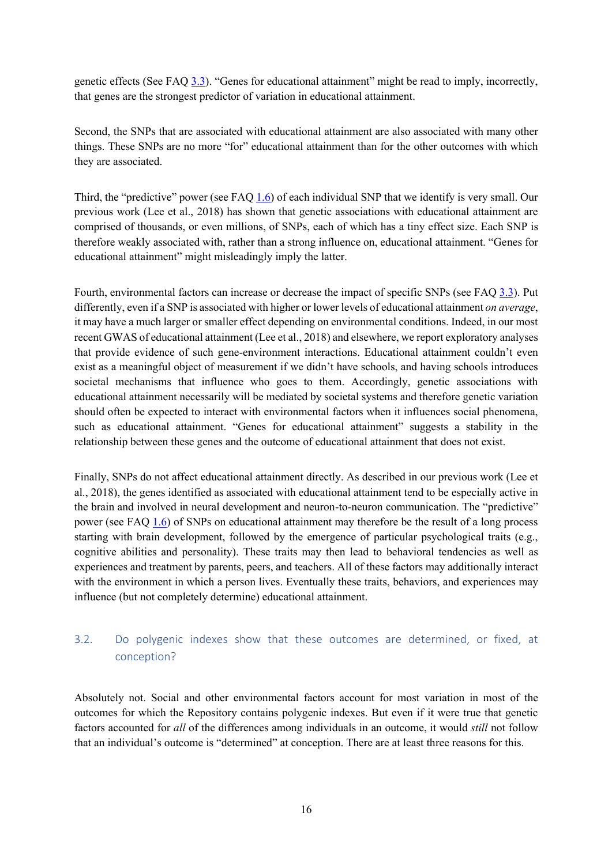genetic effects (See FAQ 3.3). "Genes for educational attainment" might be read to imply, incorrectly, that genes are the strongest predictor of variation in educational attainment.

Second, the SNPs that are associated with educational attainment are also associated with many other things. These SNPs are no more "for" educational attainment than for the other outcomes with which they are associated.

Third, the "predictive" power (see FAQ 1.6) of each individual SNP that we identify is very small. Our previous work (Lee et al., 2018) has shown that genetic associations with educational attainment are comprised of thousands, or even millions, of SNPs, each of which has a tiny effect size. Each SNP is therefore weakly associated with, rather than a strong influence on, educational attainment. "Genes for educational attainment" might misleadingly imply the latter.

Fourth, environmental factors can increase or decrease the impact of specific SNPs (see FAQ 3.3). Put differently, even if a SNP is associated with higher or lower levels of educational attainment *on average*, it may have a much larger or smaller effect depending on environmental conditions. Indeed, in our most recent GWAS of educational attainment (Lee et al., 2018) and elsewhere, we report exploratory analyses that provide evidence of such gene-environment interactions. Educational attainment couldn't even exist as a meaningful object of measurement if we didn't have schools, and having schools introduces societal mechanisms that influence who goes to them. Accordingly, genetic associations with educational attainment necessarily will be mediated by societal systems and therefore genetic variation should often be expected to interact with environmental factors when it influences social phenomena, such as educational attainment. "Genes for educational attainment" suggests a stability in the relationship between these genes and the outcome of educational attainment that does not exist.

Finally, SNPs do not affect educational attainment directly. As described in our previous work (Lee et al., 2018), the genes identified as associated with educational attainment tend to be especially active in the brain and involved in neural development and neuron-to-neuron communication. The "predictive" power (see FAQ 1.6) of SNPs on educational attainment may therefore be the result of a long process starting with brain development, followed by the emergence of particular psychological traits (e.g., cognitive abilities and personality). These traits may then lead to behavioral tendencies as well as experiences and treatment by parents, peers, and teachers. All of these factors may additionally interact with the environment in which a person lives. Eventually these traits, behaviors, and experiences may influence (but not completely determine) educational attainment.

## 3.2. Do polygenic indexes show that these outcomes are determined, or fixed, at conception?

Absolutely not. Social and other environmental factors account for most variation in most of the outcomes for which the Repository contains polygenic indexes. But even if it were true that genetic factors accounted for *all* of the differences among individuals in an outcome, it would *still* not follow that an individual's outcome is "determined" at conception. There are at least three reasons for this.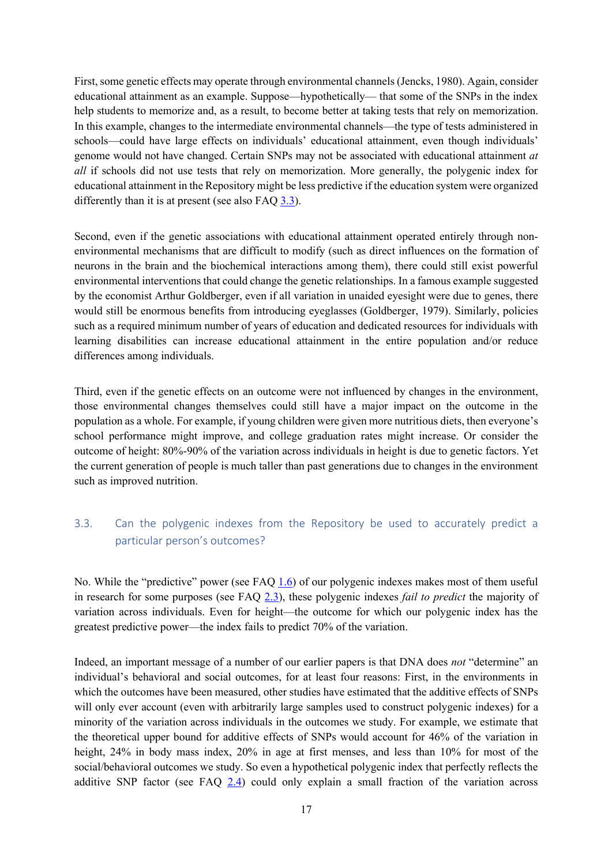First, some genetic effects may operate through environmental channels (Jencks, 1980). Again, consider educational attainment as an example. Suppose—hypothetically— that some of the SNPs in the index help students to memorize and, as a result, to become better at taking tests that rely on memorization. In this example, changes to the intermediate environmental channels—the type of tests administered in schools—could have large effects on individuals' educational attainment, even though individuals' genome would not have changed. Certain SNPs may not be associated with educational attainment *at all* if schools did not use tests that rely on memorization. More generally, the polygenic index for educational attainment in the Repository might be less predictive if the education system were organized differently than it is at present (see also FAQ 3.3).

Second, even if the genetic associations with educational attainment operated entirely through nonenvironmental mechanisms that are difficult to modify (such as direct influences on the formation of neurons in the brain and the biochemical interactions among them), there could still exist powerful environmental interventions that could change the genetic relationships. In a famous example suggested by the economist Arthur Goldberger, even if all variation in unaided eyesight were due to genes, there would still be enormous benefits from introducing eyeglasses (Goldberger, 1979). Similarly, policies such as a required minimum number of years of education and dedicated resources for individuals with learning disabilities can increase educational attainment in the entire population and/or reduce differences among individuals.

Third, even if the genetic effects on an outcome were not influenced by changes in the environment, those environmental changes themselves could still have a major impact on the outcome in the population as a whole. For example, if young children were given more nutritious diets, then everyone's school performance might improve, and college graduation rates might increase. Or consider the outcome of height: 80%-90% of the variation across individuals in height is due to genetic factors. Yet the current generation of people is much taller than past generations due to changes in the environment such as improved nutrition.

## 3.3. Can the polygenic indexes from the Repository be used to accurately predict a particular person's outcomes?

No. While the "predictive" power (see FAQ 1.6) of our polygenic indexes makes most of them useful in research for some purposes (see FAQ 2.3), these polygenic indexes *fail to predict* the majority of variation across individuals. Even for height—the outcome for which our polygenic index has the greatest predictive power—the index fails to predict 70% of the variation.

Indeed, an important message of a number of our earlier papers is that DNA does *not* "determine" an individual's behavioral and social outcomes, for at least four reasons: First, in the environments in which the outcomes have been measured, other studies have estimated that the additive effects of SNPs will only ever account (even with arbitrarily large samples used to construct polygenic indexes) for a minority of the variation across individuals in the outcomes we study. For example, we estimate that the theoretical upper bound for additive effects of SNPs would account for 46% of the variation in height, 24% in body mass index, 20% in age at first menses, and less than 10% for most of the social/behavioral outcomes we study. So even a hypothetical polygenic index that perfectly reflects the additive SNP factor (see FAQ 2.4) could only explain a small fraction of the variation across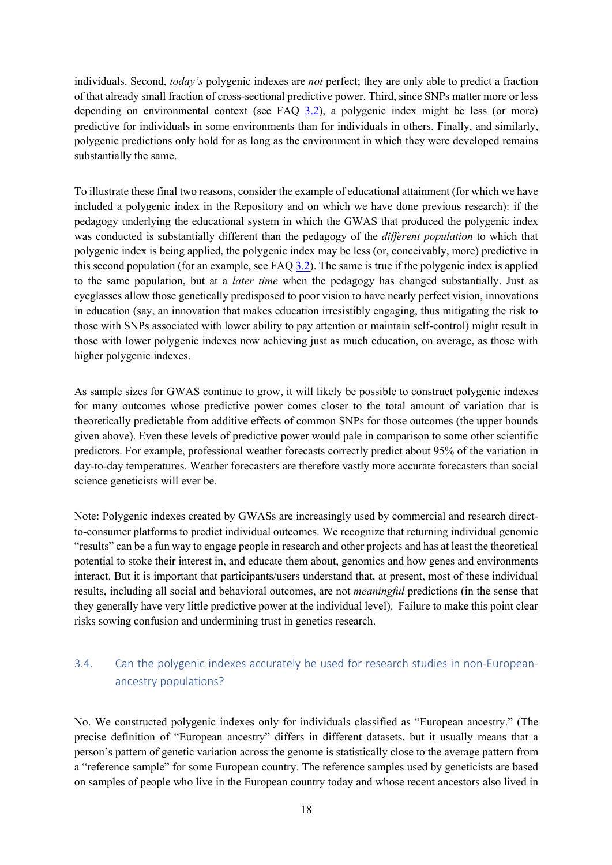individuals. Second, *today's* polygenic indexes are *not* perfect; they are only able to predict a fraction of that already small fraction of cross-sectional predictive power. Third, since SNPs matter more or less depending on environmental context (see FAQ 3.2), a polygenic index might be less (or more) predictive for individuals in some environments than for individuals in others. Finally, and similarly, polygenic predictions only hold for as long as the environment in which they were developed remains substantially the same.

To illustrate these final two reasons, consider the example of educational attainment (for which we have included a polygenic index in the Repository and on which we have done previous research): if the pedagogy underlying the educational system in which the GWAS that produced the polygenic index was conducted is substantially different than the pedagogy of the *different population* to which that polygenic index is being applied, the polygenic index may be less (or, conceivably, more) predictive in this second population (for an example, see FAQ 3.2). The same is true if the polygenic index is applied to the same population, but at a *later time* when the pedagogy has changed substantially. Just as eyeglasses allow those genetically predisposed to poor vision to have nearly perfect vision, innovations in education (say, an innovation that makes education irresistibly engaging, thus mitigating the risk to those with SNPs associated with lower ability to pay attention or maintain self-control) might result in those with lower polygenic indexes now achieving just as much education, on average, as those with higher polygenic indexes.

As sample sizes for GWAS continue to grow, it will likely be possible to construct polygenic indexes for many outcomes whose predictive power comes closer to the total amount of variation that is theoretically predictable from additive effects of common SNPs for those outcomes (the upper bounds given above). Even these levels of predictive power would pale in comparison to some other scientific predictors. For example, professional weather forecasts correctly predict about 95% of the variation in day-to-day temperatures. Weather forecasters are therefore vastly more accurate forecasters than social science geneticists will ever be.

Note: Polygenic indexes created by GWASs are increasingly used by commercial and research directto-consumer platforms to predict individual outcomes. We recognize that returning individual genomic "results" can be a fun way to engage people in research and other projects and has at least the theoretical potential to stoke their interest in, and educate them about, genomics and how genes and environments interact. But it is important that participants/users understand that, at present, most of these individual results, including all social and behavioral outcomes, are not *meaningful* predictions (in the sense that they generally have very little predictive power at the individual level). Failure to make this point clear risks sowing confusion and undermining trust in genetics research.

## 3.4. Can the polygenic indexes accurately be used for research studies in non-Europeanancestry populations?

No. We constructed polygenic indexes only for individuals classified as "European ancestry." (The precise definition of "European ancestry" differs in different datasets, but it usually means that a person's pattern of genetic variation across the genome is statistically close to the average pattern from a "reference sample" for some European country. The reference samples used by geneticists are based on samples of people who live in the European country today and whose recent ancestors also lived in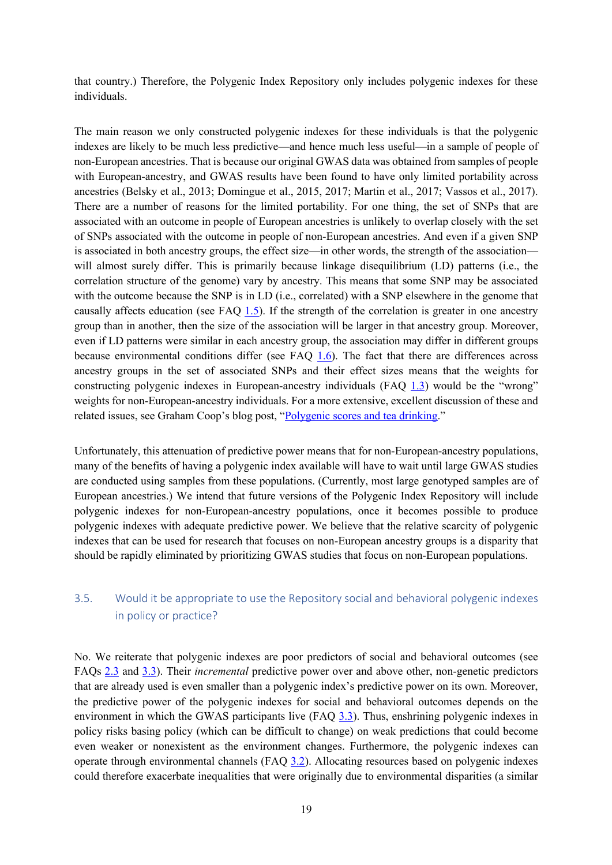that country.) Therefore, the Polygenic Index Repository only includes polygenic indexes for these individuals.

The main reason we only constructed polygenic indexes for these individuals is that the polygenic indexes are likely to be much less predictive—and hence much less useful—in a sample of people of non-European ancestries. That is because our original GWAS data was obtained from samples of people with European-ancestry, and GWAS results have been found to have only limited portability across ancestries (Belsky et al., 2013; Domingue et al., 2015, 2017; Martin et al., 2017; Vassos et al., 2017). There are a number of reasons for the limited portability. For one thing, the set of SNPs that are associated with an outcome in people of European ancestries is unlikely to overlap closely with the set of SNPs associated with the outcome in people of non-European ancestries. And even if a given SNP is associated in both ancestry groups, the effect size—in other words, the strength of the association will almost surely differ. This is primarily because linkage disequilibrium (LD) patterns (i.e., the correlation structure of the genome) vary by ancestry. This means that some SNP may be associated with the outcome because the SNP is in LD (i.e., correlated) with a SNP elsewhere in the genome that causally affects education (see FAQ 1.5). If the strength of the correlation is greater in one ancestry group than in another, then the size of the association will be larger in that ancestry group. Moreover, even if LD patterns were similar in each ancestry group, the association may differ in different groups because environmental conditions differ (see FAQ 1.6). The fact that there are differences across ancestry groups in the set of associated SNPs and their effect sizes means that the weights for constructing polygenic indexes in European-ancestry individuals (FAQ 1.3) would be the "wrong" weights for non-European-ancestry individuals. For a more extensive, excellent discussion of these and related issues, see Graham Coop's blog post, "Polygenic scores and tea drinking."

Unfortunately, this attenuation of predictive power means that for non-European-ancestry populations, many of the benefits of having a polygenic index available will have to wait until large GWAS studies are conducted using samples from these populations. (Currently, most large genotyped samples are of European ancestries.) We intend that future versions of the Polygenic Index Repository will include polygenic indexes for non-European-ancestry populations, once it becomes possible to produce polygenic indexes with adequate predictive power. We believe that the relative scarcity of polygenic indexes that can be used for research that focuses on non-European ancestry groups is a disparity that should be rapidly eliminated by prioritizing GWAS studies that focus on non-European populations.

## 3.5. Would it be appropriate to use the Repository social and behavioral polygenic indexes in policy or practice?

No. We reiterate that polygenic indexes are poor predictors of social and behavioral outcomes (see FAQs 2.3 and 3.3). Their *incremental* predictive power over and above other, non-genetic predictors that are already used is even smaller than a polygenic index's predictive power on its own. Moreover, the predictive power of the polygenic indexes for social and behavioral outcomes depends on the environment in which the GWAS participants live (FAQ 3.3). Thus, enshrining polygenic indexes in policy risks basing policy (which can be difficult to change) on weak predictions that could become even weaker or nonexistent as the environment changes. Furthermore, the polygenic indexes can operate through environmental channels (FAQ 3.2). Allocating resources based on polygenic indexes could therefore exacerbate inequalities that were originally due to environmental disparities (a similar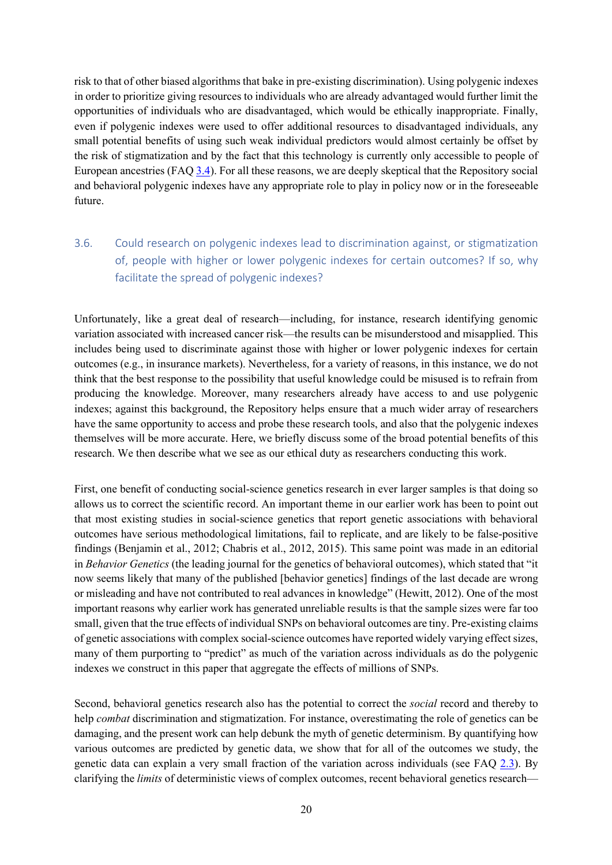risk to that of other biased algorithms that bake in pre-existing discrimination). Using polygenic indexes in order to prioritize giving resources to individuals who are already advantaged would further limit the opportunities of individuals who are disadvantaged, which would be ethically inappropriate. Finally, even if polygenic indexes were used to offer additional resources to disadvantaged individuals, any small potential benefits of using such weak individual predictors would almost certainly be offset by the risk of stigmatization and by the fact that this technology is currently only accessible to people of European ancestries (FAQ 3.4). For all these reasons, we are deeply skeptical that the Repository social and behavioral polygenic indexes have any appropriate role to play in policy now or in the foreseeable future.

## 3.6. Could research on polygenic indexes lead to discrimination against, or stigmatization of, people with higher or lower polygenic indexes for certain outcomes? If so, why facilitate the spread of polygenic indexes?

Unfortunately, like a great deal of research—including, for instance, research identifying genomic variation associated with increased cancer risk—the results can be misunderstood and misapplied. This includes being used to discriminate against those with higher or lower polygenic indexes for certain outcomes (e.g., in insurance markets). Nevertheless, for a variety of reasons, in this instance, we do not think that the best response to the possibility that useful knowledge could be misused is to refrain from producing the knowledge. Moreover, many researchers already have access to and use polygenic indexes; against this background, the Repository helps ensure that a much wider array of researchers have the same opportunity to access and probe these research tools, and also that the polygenic indexes themselves will be more accurate. Here, we briefly discuss some of the broad potential benefits of this research. We then describe what we see as our ethical duty as researchers conducting this work.

First, one benefit of conducting social-science genetics research in ever larger samples is that doing so allows us to correct the scientific record. An important theme in our earlier work has been to point out that most existing studies in social-science genetics that report genetic associations with behavioral outcomes have serious methodological limitations, fail to replicate, and are likely to be false-positive findings (Benjamin et al., 2012; Chabris et al., 2012, 2015). This same point was made in an editorial in *Behavior Genetics* (the leading journal for the genetics of behavioral outcomes), which stated that "it now seems likely that many of the published [behavior genetics] findings of the last decade are wrong or misleading and have not contributed to real advances in knowledge" (Hewitt, 2012). One of the most important reasons why earlier work has generated unreliable results is that the sample sizes were far too small, given that the true effects of individual SNPs on behavioral outcomes are tiny. Pre-existing claims of genetic associations with complex social-science outcomes have reported widely varying effect sizes, many of them purporting to "predict" as much of the variation across individuals as do the polygenic indexes we construct in this paper that aggregate the effects of millions of SNPs.

Second, behavioral genetics research also has the potential to correct the *social* record and thereby to help *combat* discrimination and stigmatization. For instance, overestimating the role of genetics can be damaging, and the present work can help debunk the myth of genetic determinism. By quantifying how various outcomes are predicted by genetic data, we show that for all of the outcomes we study, the genetic data can explain a very small fraction of the variation across individuals (see FAQ 2.3). By clarifying the *limits* of deterministic views of complex outcomes, recent behavioral genetics research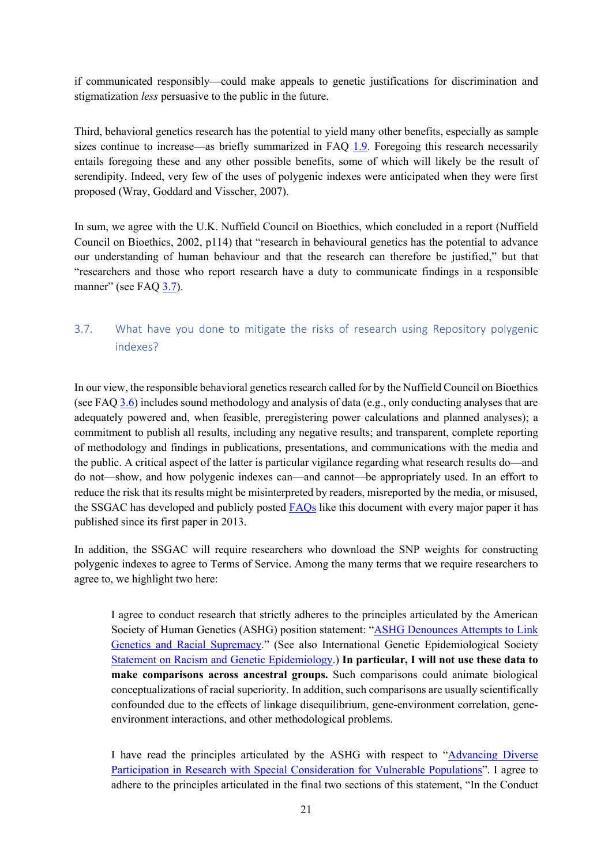if communicated responsibly—could make appeals to genetic justifications for discrimination and stigmatization *less* persuasive to the public in the future.

Third, behavioral genetics research has the potential to yield many other benefits, especially as sample sizes continue to increase—as briefly summarized in FAQ 1.9. Foregoing this research necessarily entails foregoing these and any other possible benefits, some of which will likely be the result of serendipity. Indeed, very few of the uses of polygenic indexes were anticipated when they were first proposed (Wray, Goddard and Visscher, 2007).

In sum, we agree with the U.K. Nuffield Council on Bioethics, which concluded in a report (Nuffield Council on Bioethics, 2002, p114) that "research in behavioural genetics has the potential to advance our understanding of human behaviour and that the research can therefore be justified," but that "researchers and those who report research have a duty to communicate findings in a responsible manner" (see FAQ 3.7).

## 3.7. What have you done to mitigate the risks of research using Repository polygenic indexes?

In our view, the responsible behavioral genetics research called for by the Nuffield Council on Bioethics (see FAQ 3.6) includes sound methodology and analysis of data (e.g., only conducting analyses that are adequately powered and, when feasible, preregistering power calculations and planned analyses); a commitment to publish all results, including any negative results; and transparent, complete reporting of methodology and findings in publications, presentations, and communications with the media and the public. A critical aspect of the latter is particular vigilance regarding what research results do—and do not—show, and how polygenic indexes can—and cannot—be appropriately used. In an effort to reduce the risk that its results might be misinterpreted by readers, misreported by the media, or misused, the SSGAC has developed and publicly posted FAQs like this document with every major paper it has published since its first paper in 2013.

In addition, the SSGAC will require researchers who download the SNP weights for constructing polygenic indexes to agree to Terms of Service. Among the many terms that we require researchers to agree to, we highlight two here:

I agree to conduct research that strictly adheres to the principles articulated by the American Society of Human Genetics (ASHG) position statement: "ASHG Denounces Attempts to Link Genetics and Racial Supremacy." (See also International Genetic Epidemiological Society Statement on Racism and Genetic Epidemiology.) **In particular, I will not use these data to make comparisons across ancestral groups.** Such comparisons could animate biological conceptualizations of racial superiority. In addition, such comparisons are usually scientifically confounded due to the effects of linkage disequilibrium, gene-environment correlation, geneenvironment interactions, and other methodological problems.

I have read the principles articulated by the ASHG with respect to "Advancing Diverse Participation in Research with Special Consideration for Vulnerable Populations". I agree to adhere to the principles articulated in the final two sections of this statement, "In the Conduct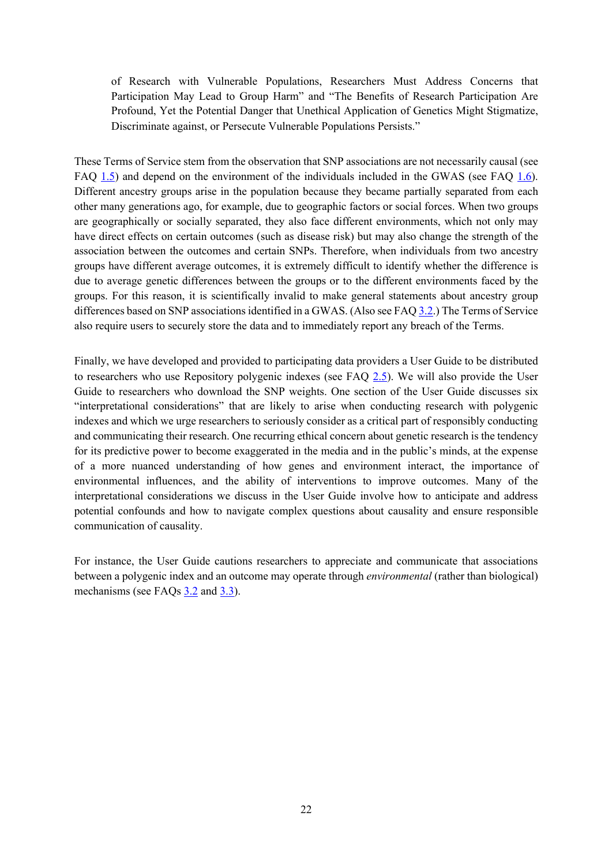of Research with Vulnerable Populations, Researchers Must Address Concerns that Participation May Lead to Group Harm" and "The Benefits of Research Participation Are Profound, Yet the Potential Danger that Unethical Application of Genetics Might Stigmatize, Discriminate against, or Persecute Vulnerable Populations Persists."

These Terms of Service stem from the observation that SNP associations are not necessarily causal (see FAQ 1.5) and depend on the environment of the individuals included in the GWAS (see FAQ 1.6). Different ancestry groups arise in the population because they became partially separated from each other many generations ago, for example, due to geographic factors or social forces. When two groups are geographically or socially separated, they also face different environments, which not only may have direct effects on certain outcomes (such as disease risk) but may also change the strength of the association between the outcomes and certain SNPs. Therefore, when individuals from two ancestry groups have different average outcomes, it is extremely difficult to identify whether the difference is due to average genetic differences between the groups or to the different environments faced by the groups. For this reason, it is scientifically invalid to make general statements about ancestry group differences based on SNP associations identified in a GWAS. (Also see FAQ 3.2.) The Terms of Service also require users to securely store the data and to immediately report any breach of the Terms.

Finally, we have developed and provided to participating data providers a User Guide to be distributed to researchers who use Repository polygenic indexes (see FAQ 2.5). We will also provide the User Guide to researchers who download the SNP weights. One section of the User Guide discusses six "interpretational considerations" that are likely to arise when conducting research with polygenic indexes and which we urge researchers to seriously consider as a critical part of responsibly conducting and communicating their research. One recurring ethical concern about genetic research is the tendency for its predictive power to become exaggerated in the media and in the public's minds, at the expense of a more nuanced understanding of how genes and environment interact, the importance of environmental influences, and the ability of interventions to improve outcomes. Many of the interpretational considerations we discuss in the User Guide involve how to anticipate and address potential confounds and how to navigate complex questions about causality and ensure responsible communication of causality.

For instance, the User Guide cautions researchers to appreciate and communicate that associations between a polygenic index and an outcome may operate through *environmental* (rather than biological) mechanisms (see FAQs 3.2 and 3.3).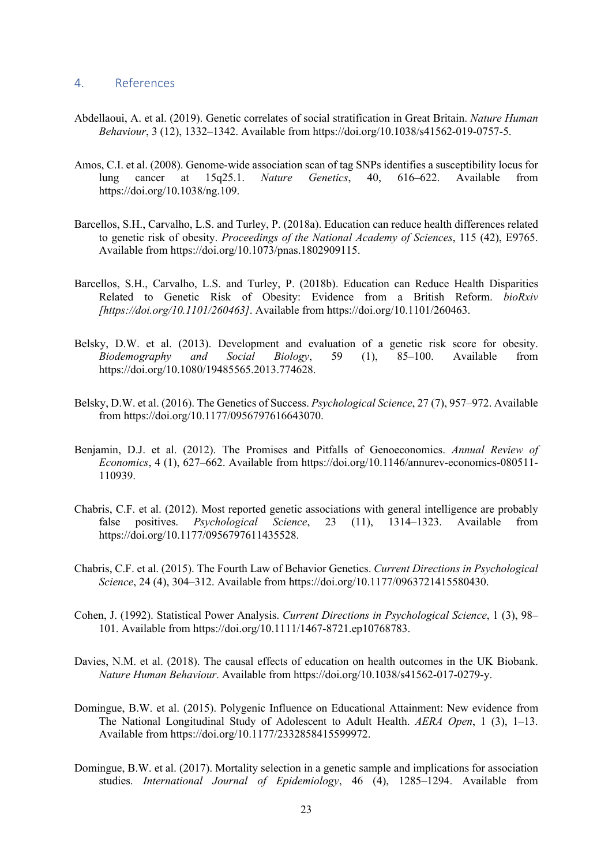#### 4. References

- Abdellaoui, A. et al. (2019). Genetic correlates of social stratification in Great Britain. *Nature Human Behaviour*, 3 (12), 1332–1342. Available from https://doi.org/10.1038/s41562-019-0757-5.
- Amos, C.I. et al. (2008). Genome-wide association scan of tag SNPs identifies a susceptibility locus for lung cancer at 15q25.1. *Nature Genetics*, 40, 616–622. Available from https://doi.org/10.1038/ng.109.
- Barcellos, S.H., Carvalho, L.S. and Turley, P. (2018a). Education can reduce health differences related to genetic risk of obesity. *Proceedings of the National Academy of Sciences*, 115 (42), E9765. Available from https://doi.org/10.1073/pnas.1802909115.
- Barcellos, S.H., Carvalho, L.S. and Turley, P. (2018b). Education can Reduce Health Disparities Related to Genetic Risk of Obesity: Evidence from a British Reform. *bioRxiv [https://doi.org/10.1101/260463]*. Available from https://doi.org/10.1101/260463.
- Belsky, D.W. et al. (2013). Development and evaluation of a genetic risk score for obesity. *Biodemography and Social Biology*, 59 (1), 85–100. Available from https://doi.org/10.1080/19485565.2013.774628.
- Belsky, D.W. et al. (2016). The Genetics of Success. *Psychological Science*, 27 (7), 957–972. Available from https://doi.org/10.1177/0956797616643070.
- Benjamin, D.J. et al. (2012). The Promises and Pitfalls of Genoeconomics. *Annual Review of Economics*, 4 (1), 627–662. Available from https://doi.org/10.1146/annurev-economics-080511- 110939.
- Chabris, C.F. et al. (2012). Most reported genetic associations with general intelligence are probably false positives. *Psychological Science*, 23 (11), 1314–1323. Available from https://doi.org/10.1177/0956797611435528.
- Chabris, C.F. et al. (2015). The Fourth Law of Behavior Genetics. *Current Directions in Psychological Science*, 24 (4), 304–312. Available from https://doi.org/10.1177/0963721415580430.
- Cohen, J. (1992). Statistical Power Analysis. *Current Directions in Psychological Science*, 1 (3), 98– 101. Available from https://doi.org/10.1111/1467-8721.ep10768783.
- Davies, N.M. et al. (2018). The causal effects of education on health outcomes in the UK Biobank. *Nature Human Behaviour*. Available from https://doi.org/10.1038/s41562-017-0279-y.
- Domingue, B.W. et al. (2015). Polygenic Influence on Educational Attainment: New evidence from The National Longitudinal Study of Adolescent to Adult Health. *AERA Open*, 1 (3), 1–13. Available from https://doi.org/10.1177/2332858415599972.
- Domingue, B.W. et al. (2017). Mortality selection in a genetic sample and implications for association studies. *International Journal of Epidemiology*, 46 (4), 1285–1294. Available from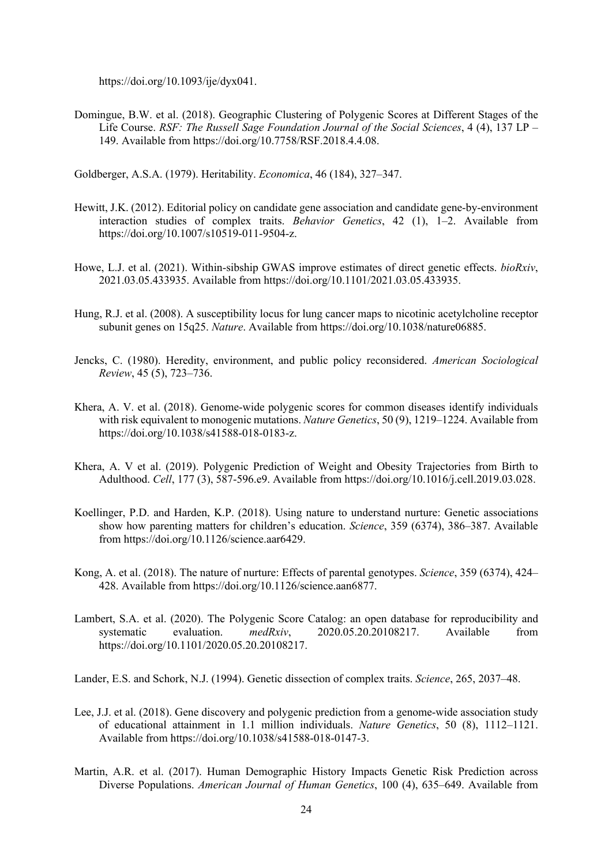https://doi.org/10.1093/ije/dyx041.

Domingue, B.W. et al. (2018). Geographic Clustering of Polygenic Scores at Different Stages of the Life Course. *RSF: The Russell Sage Foundation Journal of the Social Sciences*, 4 (4), 137 LP – 149. Available from https://doi.org/10.7758/RSF.2018.4.4.08.

Goldberger, A.S.A. (1979). Heritability. *Economica*, 46 (184), 327–347.

- Hewitt, J.K. (2012). Editorial policy on candidate gene association and candidate gene-by-environment interaction studies of complex traits. *Behavior Genetics*, 42 (1), 1–2. Available from https://doi.org/10.1007/s10519-011-9504-z.
- Howe, L.J. et al. (2021). Within-sibship GWAS improve estimates of direct genetic effects. *bioRxiv*, 2021.03.05.433935. Available from https://doi.org/10.1101/2021.03.05.433935.
- Hung, R.J. et al. (2008). A susceptibility locus for lung cancer maps to nicotinic acetylcholine receptor subunit genes on 15q25. *Nature*. Available from https://doi.org/10.1038/nature06885.
- Jencks, C. (1980). Heredity, environment, and public policy reconsidered. *American Sociological Review*, 45 (5), 723–736.
- Khera, A. V. et al. (2018). Genome-wide polygenic scores for common diseases identify individuals with risk equivalent to monogenic mutations. *Nature Genetics*, 50 (9), 1219–1224. Available from https://doi.org/10.1038/s41588-018-0183-z.
- Khera, A. V et al. (2019). Polygenic Prediction of Weight and Obesity Trajectories from Birth to Adulthood. *Cell*, 177 (3), 587-596.e9. Available from https://doi.org/10.1016/j.cell.2019.03.028.
- Koellinger, P.D. and Harden, K.P. (2018). Using nature to understand nurture: Genetic associations show how parenting matters for children's education. *Science*, 359 (6374), 386–387. Available from https://doi.org/10.1126/science.aar6429.
- Kong, A. et al. (2018). The nature of nurture: Effects of parental genotypes. *Science*, 359 (6374), 424– 428. Available from https://doi.org/10.1126/science.aan6877.
- Lambert, S.A. et al. (2020). The Polygenic Score Catalog: an open database for reproducibility and systematic evaluation. *medRxiv*, 2020.05.20.20108217. Available from https://doi.org/10.1101/2020.05.20.20108217.

Lander, E.S. and Schork, N.J. (1994). Genetic dissection of complex traits. *Science*, 265, 2037–48.

- Lee, J.J. et al. (2018). Gene discovery and polygenic prediction from a genome-wide association study of educational attainment in 1.1 million individuals. *Nature Genetics*, 50 (8), 1112–1121. Available from https://doi.org/10.1038/s41588-018-0147-3.
- Martin, A.R. et al. (2017). Human Demographic History Impacts Genetic Risk Prediction across Diverse Populations. *American Journal of Human Genetics*, 100 (4), 635–649. Available from